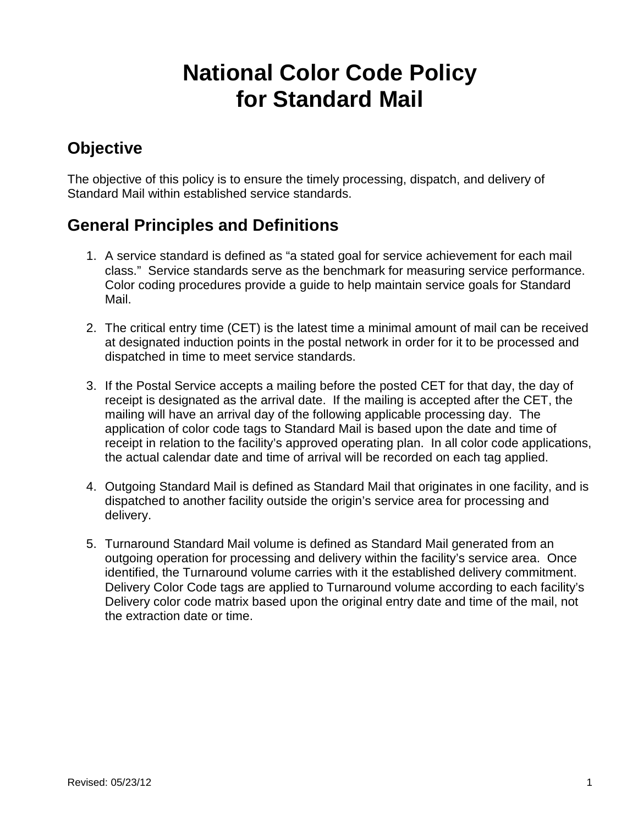# **National Color Code Policy for Standard Mail**

# **Objective**

The objective of this policy is to ensure the timely processing, dispatch, and delivery of Standard Mail within established service standards.

## **General Principles and Definitions**

- 1. A service standard is defined as "a stated goal for service achievement for each mail class." Service standards serve as the benchmark for measuring service performance. Color coding procedures provide a guide to help maintain service goals for Standard Mail.
- 2. The critical entry time (CET) is the latest time a minimal amount of mail can be received at designated induction points in the postal network in order for it to be processed and dispatched in time to meet service standards.
- 3. If the Postal Service accepts a mailing before the posted CET for that day, the day of receipt is designated as the arrival date. If the mailing is accepted after the CET, the mailing will have an arrival day of the following applicable processing day. The application of color code tags to Standard Mail is based upon the date and time of receipt in relation to the facility's approved operating plan. In all color code applications, the actual calendar date and time of arrival will be recorded on each tag applied.
- 4. Outgoing Standard Mail is defined as Standard Mail that originates in one facility, and is dispatched to another facility outside the origin's service area for processing and delivery.
- 5. Turnaround Standard Mail volume is defined as Standard Mail generated from an outgoing operation for processing and delivery within the facility's service area. Once identified, the Turnaround volume carries with it the established delivery commitment. Delivery Color Code tags are applied to Turnaround volume according to each facility's Delivery color code matrix based upon the original entry date and time of the mail, not the extraction date or time.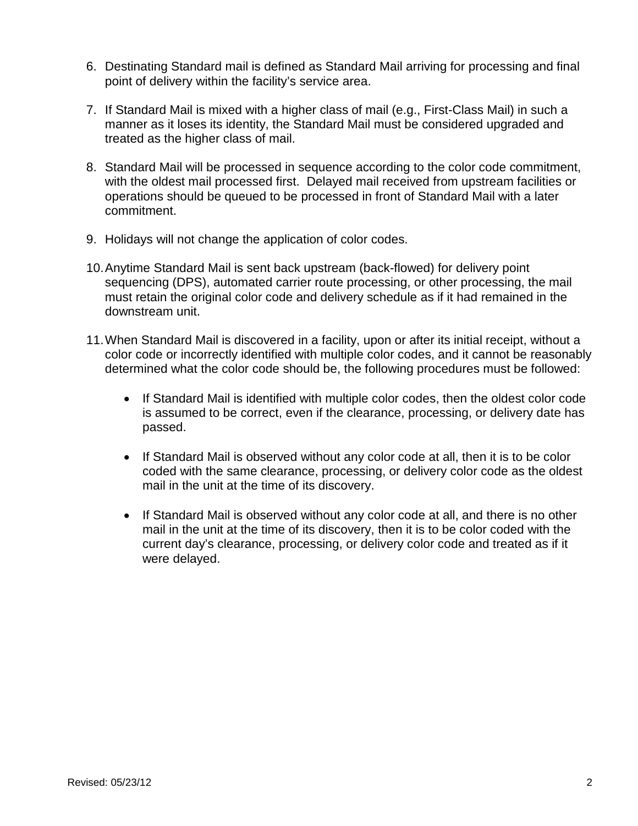- 6. Destinating Standard mail is defined as Standard Mail arriving for processing and final point of delivery within the facility's service area.
- 7. If Standard Mail is mixed with a higher class of mail (e.g., First-Class Mail) in such a manner as it loses its identity, the Standard Mail must be considered upgraded and treated as the higher class of mail.
- 8. Standard Mail will be processed in sequence according to the color code commitment, with the oldest mail processed first. Delayed mail received from upstream facilities or operations should be queued to be processed in front of Standard Mail with a later commitment.
- 9. Holidays will not change the application of color codes.
- 10.Anytime Standard Mail is sent back upstream (back-flowed) for delivery point sequencing (DPS), automated carrier route processing, or other processing, the mail must retain the original color code and delivery schedule as if it had remained in the downstream unit.
- 11.When Standard Mail is discovered in a facility, upon or after its initial receipt, without a color code or incorrectly identified with multiple color codes, and it cannot be reasonably determined what the color code should be, the following procedures must be followed:
	- If Standard Mail is identified with multiple color codes, then the oldest color code is assumed to be correct, even if the clearance, processing, or delivery date has passed.
	- If Standard Mail is observed without any color code at all, then it is to be color coded with the same clearance, processing, or delivery color code as the oldest mail in the unit at the time of its discovery.
	- If Standard Mail is observed without any color code at all, and there is no other mail in the unit at the time of its discovery, then it is to be color coded with the current day's clearance, processing, or delivery color code and treated as if it were delayed.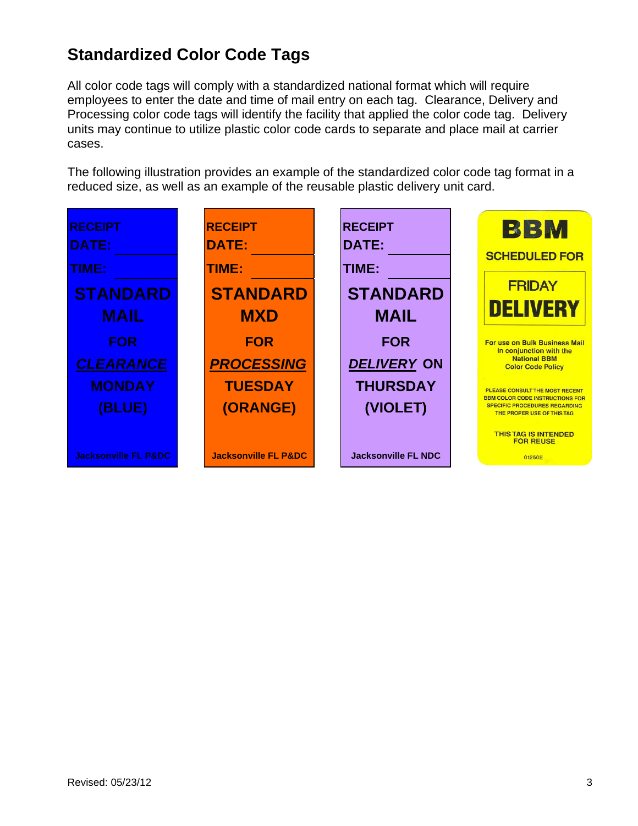# **Standardized Color Code Tags**

All color code tags will comply with a standardized national format which will require employees to enter the date and time of mail entry on each tag. Clearance, Delivery and Processing color code tags will identify the facility that applied the color code tag. Delivery units may continue to utilize plastic color code cards to separate and place mail at carrier cases.

The following illustration provides an example of the standardized color code tag format in a reduced size, as well as an example of the reusable plastic delivery unit card.

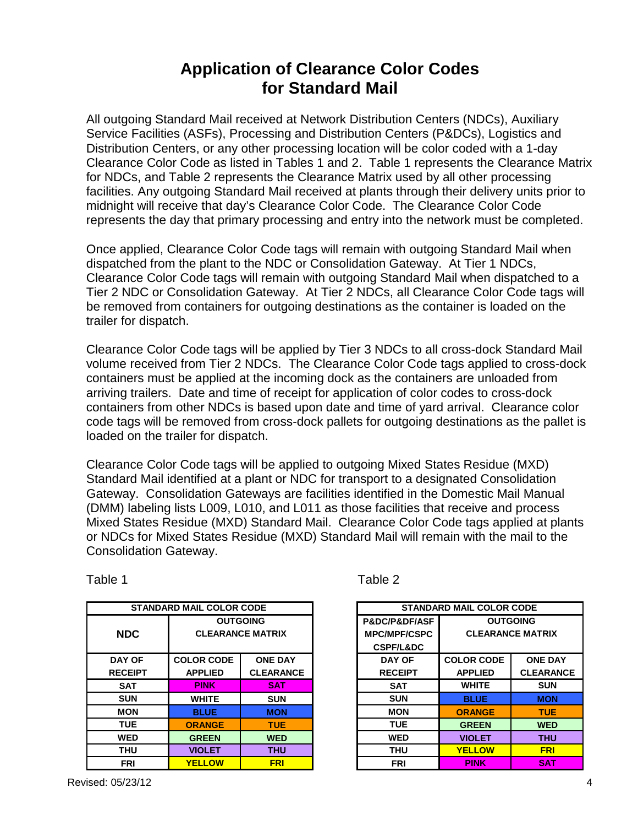#### **Application of Clearance Color Codes for Standard Mail**

All outgoing Standard Mail received at Network Distribution Centers (NDCs), Auxiliary Service Facilities (ASFs), Processing and Distribution Centers (P&DCs), Logistics and Distribution Centers, or any other processing location will be color coded with a 1-day Clearance Color Code as listed in Tables 1 and 2. Table 1 represents the Clearance Matrix for NDCs, and Table 2 represents the Clearance Matrix used by all other processing facilities. Any outgoing Standard Mail received at plants through their delivery units prior to midnight will receive that day's Clearance Color Code. The Clearance Color Code represents the day that primary processing and entry into the network must be completed.

Once applied, Clearance Color Code tags will remain with outgoing Standard Mail when dispatched from the plant to the NDC or Consolidation Gateway. At Tier 1 NDCs, Clearance Color Code tags will remain with outgoing Standard Mail when dispatched to a Tier 2 NDC or Consolidation Gateway. At Tier 2 NDCs, all Clearance Color Code tags will be removed from containers for outgoing destinations as the container is loaded on the trailer for dispatch.

Clearance Color Code tags will be applied by Tier 3 NDCs to all cross-dock Standard Mail volume received from Tier 2 NDCs. The Clearance Color Code tags applied to cross-dock containers must be applied at the incoming dock as the containers are unloaded from arriving trailers. Date and time of receipt for application of color codes to cross-dock containers from other NDCs is based upon date and time of yard arrival. Clearance color code tags will be removed from cross-dock pallets for outgoing destinations as the pallet is loaded on the trailer for dispatch.

Clearance Color Code tags will be applied to outgoing Mixed States Residue (MXD) Standard Mail identified at a plant or NDC for transport to a designated Consolidation Gateway. Consolidation Gateways are facilities identified in the Domestic Mail Manual (DMM) labeling lists L009, L010, and L011 as those facilities that receive and process Mixed States Residue (MXD) Standard Mail. Clearance Color Code tags applied at plants or NDCs for Mixed States Residue (MXD) Standard Mail will remain with the mail to the Consolidation Gateway.

| <b>STANDARD MAIL COLOR CODE</b> |                   | <b>STAND</b>            |  |                              |
|---------------------------------|-------------------|-------------------------|--|------------------------------|
|                                 |                   | <b>OUTGOING</b>         |  | <b>P&amp;DC/P&amp;DF/ASF</b> |
| <b>NDC</b>                      |                   | <b>CLEARANCE MATRIX</b> |  | <b>MPC/MPF/CSPC</b>          |
|                                 |                   |                         |  | <b>CSPF/L&amp;DC</b>         |
| DAY OF                          | <b>COLOR CODE</b> | <b>ONE DAY</b>          |  | <b>DAY OF</b>                |
| <b>RECEIPT</b>                  | <b>APPLIED</b>    | <b>CLEARANCE</b>        |  | <b>RECEIPT</b>               |
| <b>SAT</b>                      | <b>PINK</b>       | <b>SAT</b>              |  | <b>SAT</b>                   |
| <b>SUN</b>                      | <b>WHITE</b>      | <b>SUN</b>              |  | <b>SUN</b>                   |
| <b>MON</b>                      | <b>BLUE</b>       | <b>MON</b>              |  | <b>MON</b>                   |
| <b>TUE</b>                      | <b>ORANGE</b>     | <b>TUE</b>              |  | <b>TUE</b>                   |
| <b>WED</b>                      | <b>GREEN</b>      | <b>WED</b>              |  | <b>WED</b>                   |
| THU                             | <b>VIOLET</b>     | <b>THU</b>              |  | THU                          |
| <b>FRI</b>                      | <b>YELLOW</b>     | <b>FRI</b>              |  | <b>FRI</b>                   |

Table 1

| able |  |
|------|--|
|------|--|

| <b>STANDARD MAIL COLOR CODE</b> |                         |                  | <b>STANDARD MAIL COLOR CODE</b> |                              |                   |                         |
|---------------------------------|-------------------------|------------------|---------------------------------|------------------------------|-------------------|-------------------------|
|                                 | <b>OUTGOING</b>         |                  |                                 | <b>P&amp;DC/P&amp;DF/ASF</b> | <b>OUTGOING</b>   |                         |
| <b>NDC</b>                      | <b>CLEARANCE MATRIX</b> |                  |                                 | <b>MPC/MPF/CSPC</b>          |                   | <b>CLEARANCE MATRIX</b> |
|                                 |                         |                  |                                 | <b>CSPF/L&amp;DC</b>         |                   |                         |
| <b>DAY OF</b>                   | <b>COLOR CODE</b>       | <b>ONE DAY</b>   |                                 | <b>DAY OF</b>                | <b>COLOR CODE</b> | <b>ONE DAY</b>          |
| <b>RECEIPT</b>                  | <b>APPLIED</b>          | <b>CLEARANCE</b> |                                 | <b>RECEIPT</b>               | <b>APPLIED</b>    | <b>CLEARANCE</b>        |
| <b>SAT</b>                      | <b>PINK</b>             | <b>SAT</b>       |                                 | <b>SAT</b>                   | <b>WHITE</b>      | <b>SUN</b>              |
| <b>SUN</b>                      | <b>WHITE</b>            | <b>SUN</b>       |                                 | <b>SUN</b>                   | <b>BLUE</b>       | <b>MON</b>              |
| <b>MON</b>                      | <b>BLUE</b>             | <b>MON</b>       |                                 | <b>MON</b>                   | <b>ORANGE</b>     | <b>TUE</b>              |
| <b>TUE</b>                      | <b>ORANGE</b>           | <b>TUE</b>       |                                 | <b>TUE</b>                   | <b>GREEN</b>      | <b>WED</b>              |
| <b>WED</b>                      | <b>GREEN</b>            | <b>WED</b>       |                                 | <b>WED</b>                   | <b>VIOLET</b>     | <b>THU</b>              |
| <b>THU</b>                      | <b>VIOLET</b>           | <b>THU</b>       |                                 | <b>THU</b>                   | <b>YELLOW</b>     | <b>FRI</b>              |
| <b>FRI</b>                      | <b>YELLOW</b>           | <b>FRI</b>       |                                 | <b>FRI</b>                   | <b>PINK</b>       | <b>SAT</b>              |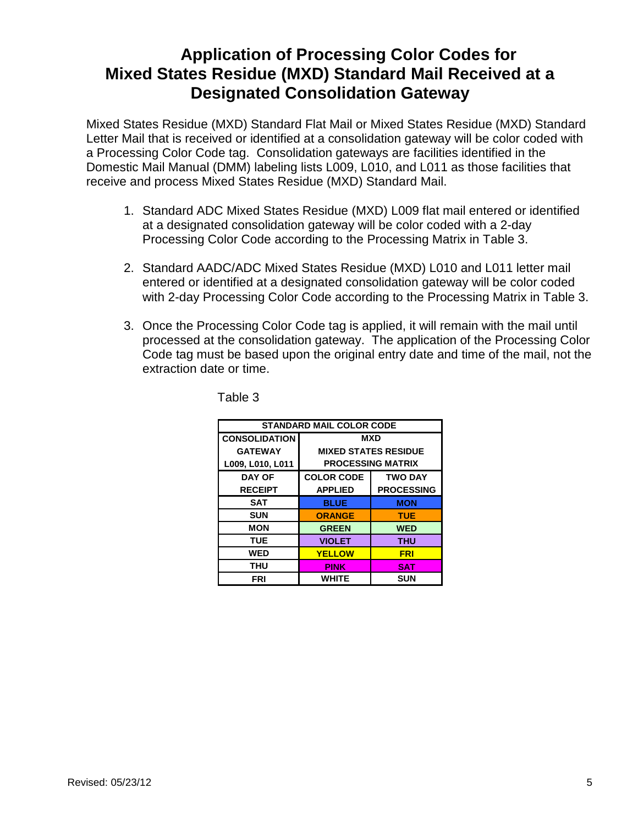#### **Application of Processing Color Codes for Mixed States Residue (MXD) Standard Mail Received at a Designated Consolidation Gateway**

Mixed States Residue (MXD) Standard Flat Mail or Mixed States Residue (MXD) Standard Letter Mail that is received or identified at a consolidation gateway will be color coded with a Processing Color Code tag. Consolidation gateways are facilities identified in the Domestic Mail Manual (DMM) labeling lists L009, L010, and L011 as those facilities that receive and process Mixed States Residue (MXD) Standard Mail.

- 1. Standard ADC Mixed States Residue (MXD) L009 flat mail entered or identified at a designated consolidation gateway will be color coded with a 2-day Processing Color Code according to the Processing Matrix in Table 3.
- 2. Standard AADC/ADC Mixed States Residue (MXD) L010 and L011 letter mail entered or identified at a designated consolidation gateway will be color coded with 2-day Processing Color Code according to the Processing Matrix in Table 3.
- 3. Once the Processing Color Code tag is applied, it will remain with the mail until processed at the consolidation gateway. The application of the Processing Color Code tag must be based upon the original entry date and time of the mail, not the extraction date or time.

| <b>STANDARD MAIL COLOR CODE</b> |                             |                   |  |  |
|---------------------------------|-----------------------------|-------------------|--|--|
| <b>CONSOLIDATION</b>            | <b>MXD</b>                  |                   |  |  |
| <b>GATEWAY</b>                  | <b>MIXED STATES RESIDUE</b> |                   |  |  |
| L009, L010, L011                | <b>PROCESSING MATRIX</b>    |                   |  |  |
| <b>DAY OF</b>                   | <b>COLOR CODE</b>           | <b>TWO DAY</b>    |  |  |
| <b>RECEIPT</b>                  | <b>APPLIED</b>              | <b>PROCESSING</b> |  |  |
| SAT                             | <b>BLUE</b>                 | <b>MON</b>        |  |  |
| <b>SUN</b>                      | <b>ORANGE</b>               | <b>TUE</b>        |  |  |
| <b>MON</b>                      | <b>GREEN</b>                | <b>WED</b>        |  |  |
| <b>TUE</b>                      | <b>VIOLET</b>               | THU               |  |  |
| <b>WED</b>                      | <b>YELLOW</b>               | <b>FRI</b>        |  |  |
| THU                             | <b>PINK</b>                 | <b>SAT</b>        |  |  |
| FRI                             | WHITE                       | <b>SUN</b>        |  |  |

Table 3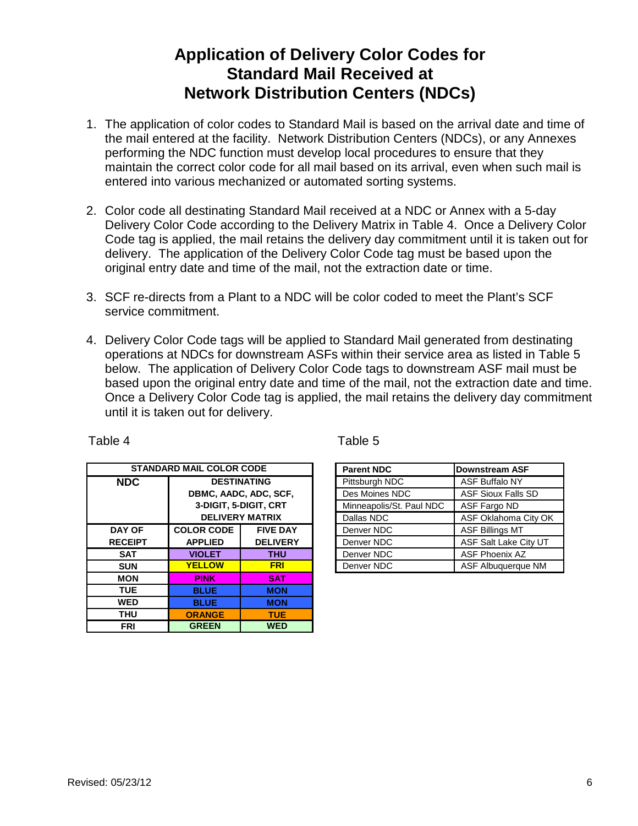## **Application of Delivery Color Codes for Standard Mail Received at Network Distribution Centers (NDCs)**

- 1. The application of color codes to Standard Mail is based on the arrival date and time of the mail entered at the facility. Network Distribution Centers (NDCs), or any Annexes performing the NDC function must develop local procedures to ensure that they maintain the correct color code for all mail based on its arrival, even when such mail is entered into various mechanized or automated sorting systems.
- 2. Color code all destinating Standard Mail received at a NDC or Annex with a 5-day Delivery Color Code according to the Delivery Matrix in Table 4. Once a Delivery Color Code tag is applied, the mail retains the delivery day commitment until it is taken out for delivery. The application of the Delivery Color Code tag must be based upon the original entry date and time of the mail, not the extraction date or time.
- 3. SCF re-directs from a Plant to a NDC will be color coded to meet the Plant's SCF service commitment.
- 4. Delivery Color Code tags will be applied to Standard Mail generated from destinating operations at NDCs for downstream ASFs within their service area as listed in Table 5 below. The application of Delivery Color Code tags to downstream ASF mail must be based upon the original entry date and time of the mail, not the extraction date and time. Once a Delivery Color Code tag is applied, the mail retains the delivery day commitment until it is taken out for delivery.

| <b>STANDARD MAIL COLOR CODE</b> |                       |                        | <b>Parent NDC</b> | Downstream ASI           |                        |
|---------------------------------|-----------------------|------------------------|-------------------|--------------------------|------------------------|
| <b>NDC</b>                      | <b>DESTINATING</b>    |                        |                   | Pittsburgh NDC           | ASF Buffalo NY         |
|                                 | DBMC, AADC, ADC, SCF, |                        |                   | Des Moines NDC           | <b>ASF Sioux Falls</b> |
|                                 |                       | 3-DIGIT, 5-DIGIT, CRT  |                   | Minneapolis/St. Paul NDC | ASF Fargo ND           |
|                                 |                       | <b>DELIVERY MATRIX</b> |                   | Dallas NDC               | ASF Oklahoma (         |
| <b>DAY OF</b>                   | <b>COLOR CODE</b>     | <b>FIVE DAY</b>        |                   | Denver NDC               | <b>ASF Billings MT</b> |
| <b>RECEIPT</b>                  | <b>APPLIED</b>        | <b>DELIVERY</b>        |                   | Denver NDC               | ASF Salt Lake C        |
| <b>SAT</b>                      | <b>VIOLET</b>         | <b>THU</b>             |                   | Denver NDC               | <b>ASF Phoenix AZ</b>  |
| <b>SUN</b>                      | <b>YELLOW</b>         | <b>FRI</b>             |                   | Denver NDC               | <b>ASF Albuquerqu</b>  |
| <b>MON</b>                      | <b>PINK</b>           | <b>SAT</b>             |                   |                          |                        |
| <b>TUE</b>                      | <b>BLUE</b>           | <b>MON</b>             |                   |                          |                        |
| <b>WED</b>                      | <b>BLUE</b>           | <b>MON</b>             |                   |                          |                        |
| <b>THU</b>                      | <b>ORANGE</b>         | <b>TUE</b>             |                   |                          |                        |
| <b>FRI</b>                      | <b>GREEN</b>          | <b>WED</b>             |                   |                          |                        |

Table 4 Table 5

| <b>STANDARD MAIL COLOR CODE</b> |                       | <b>Parent NDC</b>        | Downstream ASF |                           |
|---------------------------------|-----------------------|--------------------------|----------------|---------------------------|
| <b>NDC</b>                      | <b>DESTINATING</b>    |                          | Pittsburgh NDC | <b>ASF Buffalo NY</b>     |
|                                 | DBMC, AADC, ADC, SCF, |                          | Des Moines NDC | <b>ASF Sioux Falls SD</b> |
| 3-DIGIT, 5-DIGIT, CRT           |                       | Minneapolis/St. Paul NDC | ASF Fargo ND   |                           |
|                                 |                       | <b>DELIVERY MATRIX</b>   | Dallas NDC     | ASF Oklahoma City OK      |
| <b>DAY OF</b>                   | <b>COLOR CODE</b>     | <b>FIVE DAY</b>          | Denver NDC     | <b>ASF Billings MT</b>    |
| <b>RECEIPT</b>                  | <b>APPLIED</b>        | <b>DELIVERY</b>          | Denver NDC     | ASF Salt Lake City UT     |
| <b>SAT</b>                      | <b>VIOLET</b>         | <b>THU</b>               | Denver NDC     | ASF Phoenix AZ            |
| <b>SUN</b>                      | <b>YELLOW</b>         | <b>FRI</b>               | Denver NDC     | ASF Albuquerque NM        |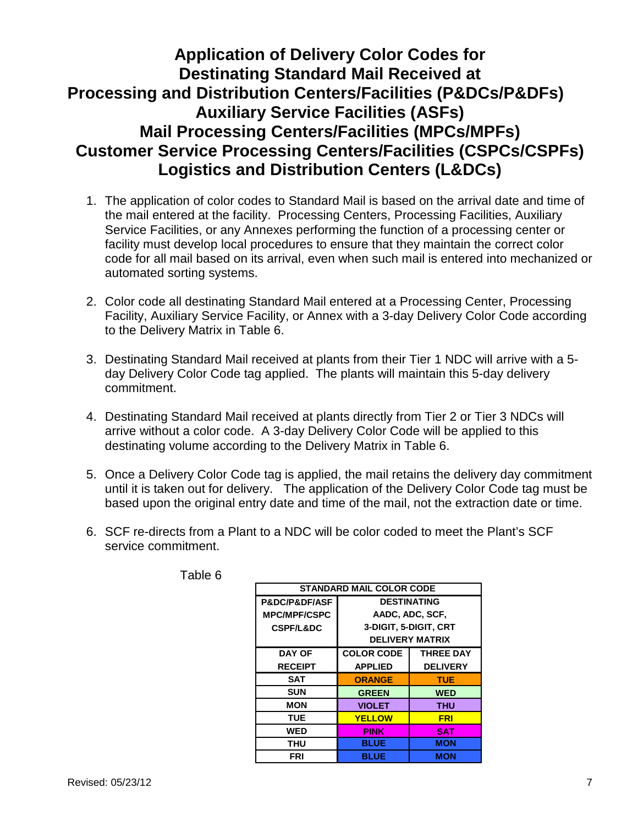## **Application of Delivery Color Codes for Destinating Standard Mail Received at Processing and Distribution Centers/Facilities (P&DCs/P&DFs) Auxiliary Service Facilities (ASFs) Mail Processing Centers/Facilities (MPCs/MPFs) Customer Service Processing Centers/Facilities (CSPCs/CSPFs) Logistics and Distribution Centers (L&DCs)**

- 1. The application of color codes to Standard Mail is based on the arrival date and time of the mail entered at the facility. Processing Centers, Processing Facilities, Auxiliary Service Facilities, or any Annexes performing the function of a processing center or facility must develop local procedures to ensure that they maintain the correct color code for all mail based on its arrival, even when such mail is entered into mechanized or automated sorting systems.
- 2. Color code all destinating Standard Mail entered at a Processing Center, Processing Facility, Auxiliary Service Facility, or Annex with a 3-day Delivery Color Code according to the Delivery Matrix in Table 6.
- 3. Destinating Standard Mail received at plants from their Tier 1 NDC will arrive with a 5 day Delivery Color Code tag applied. The plants will maintain this 5-day delivery commitment.
- 4. Destinating Standard Mail received at plants directly from Tier 2 or Tier 3 NDCs will arrive without a color code. A 3-day Delivery Color Code will be applied to this destinating volume according to the Delivery Matrix in Table 6.
- 5. Once a Delivery Color Code tag is applied, the mail retains the delivery day commitment until it is taken out for delivery. The application of the Delivery Color Code tag must be based upon the original entry date and time of the mail, not the extraction date or time.
- 6. SCF re-directs from a Plant to a NDC will be color coded to meet the Plant's SCF service commitment.

| <b>STANDARD MAIL COLOR CODE</b> |                        |                  |  |  |  |
|---------------------------------|------------------------|------------------|--|--|--|
| <b>P&amp;DC/P&amp;DF/ASF</b>    | <b>DESTINATING</b>     |                  |  |  |  |
| <b>MPC/MPF/CSPC</b>             |                        | AADC, ADC, SCF,  |  |  |  |
| <b>CSPF/L&amp;DC</b>            | 3-DIGIT, 5-DIGIT, CRT  |                  |  |  |  |
|                                 | <b>DELIVERY MATRIX</b> |                  |  |  |  |
| <b>DAY OF</b>                   | <b>COLOR CODE</b>      | <b>THREE DAY</b> |  |  |  |
| <b>RECEIPT</b>                  | <b>APPLIED</b>         | <b>DELIVERY</b>  |  |  |  |
| SAT                             | <b>ORANGE</b>          | <b>TUE</b>       |  |  |  |
| <b>SUN</b>                      | <b>GREEN</b>           | <b>WED</b>       |  |  |  |
| <b>MON</b>                      | <b>VIOLET</b>          | THU              |  |  |  |
| <b>TUE</b>                      | <b>YELLOW</b>          | FRI              |  |  |  |
| WED                             | PINK                   | <b>SAT</b>       |  |  |  |
| THU                             | <b>BLUE</b>            | <b>MON</b>       |  |  |  |
| FRI                             | <b>BLUE</b>            | <b>MON</b>       |  |  |  |

Table 6